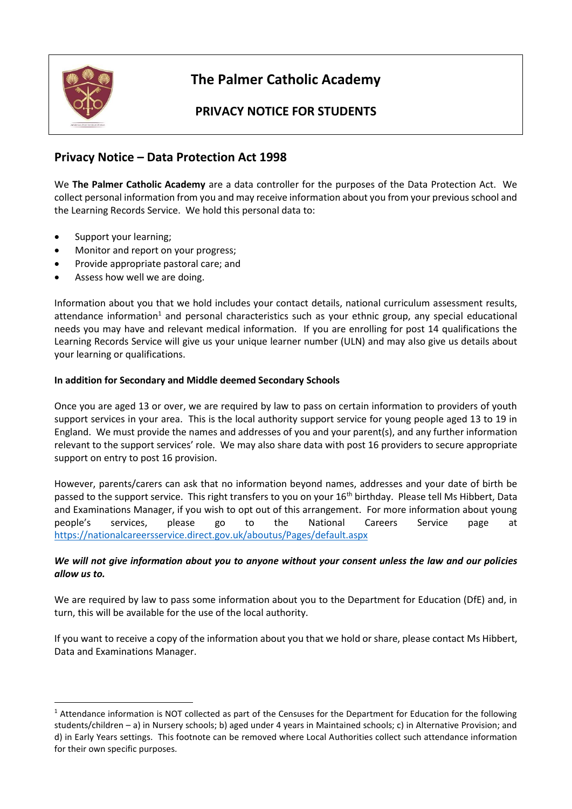

**.** 

# **The Palmer Catholic Academy**

## **PRIVACY NOTICE FOR STUDENTS**

### **Privacy Notice – Data Protection Act 1998**

We **The Palmer Catholic Academy** are a data controller for the purposes of the Data Protection Act. We collect personal information from you and may receive information about you from your previous school and the Learning Records Service. We hold this personal data to:

- Support your learning;
- Monitor and report on your progress;
- Provide appropriate pastoral care; and
- Assess how well we are doing.

Information about you that we hold includes your contact details, national curriculum assessment results, attendance information<sup>1</sup> and personal characteristics such as your ethnic group, any special educational needs you may have and relevant medical information. If you are enrolling for post 14 qualifications the Learning Records Service will give us your unique learner number (ULN) and may also give us details about your learning or qualifications.

#### **In addition for Secondary and Middle deemed Secondary Schools**

Once you are aged 13 or over, we are required by law to pass on certain information to providers of youth support services in your area. This is the local authority support service for young people aged 13 to 19 in England. We must provide the names and addresses of you and your parent(s), and any further information relevant to the support services' role. We may also share data with post 16 providers to secure appropriate support on entry to post 16 provision.

However, parents/carers can ask that no information beyond names, addresses and your date of birth be passed to the support service. This right transfers to you on your 16<sup>th</sup> birthday. Please tell Ms Hibbert, Data and Examinations Manager, if you wish to opt out of this arrangement. For more information about young people's services, please go to the National Careers Service page at <https://nationalcareersservice.direct.gov.uk/aboutus/Pages/default.aspx>

#### *We will not give information about you to anyone without your consent unless the law and our policies allow us to.*

We are required by law to pass some information about you to the Department for Education (DfE) and, in turn, this will be available for the use of the local authority.

If you want to receive a copy of the information about you that we hold or share, please contact Ms Hibbert, Data and Examinations Manager.

<sup>&</sup>lt;sup>1</sup> Attendance information is NOT collected as part of the Censuses for the Department for Education for the following students/children – a) in Nursery schools; b) aged under 4 years in Maintained schools; c) in Alternative Provision; and d) in Early Years settings. This footnote can be removed where Local Authorities collect such attendance information for their own specific purposes.